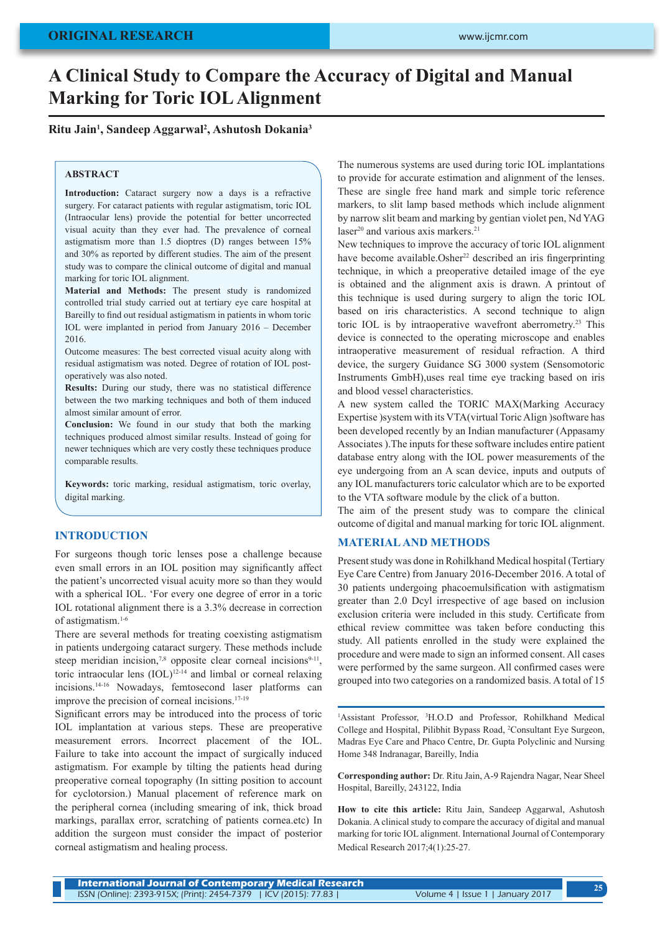# **A Clinical Study to Compare the Accuracy of Digital and Manual Marking for Toric IOL Alignment**

## **Ritu Jain1 , Sandeep Aggarwal2 , Ashutosh Dokania3**

#### **ABSTRACT**

**Introduction:** Cataract surgery now a days is a refractive surgery. For cataract patients with regular astigmatism, toric IOL (Intraocular lens) provide the potential for better uncorrected visual acuity than they ever had. The prevalence of corneal astigmatism more than 1.5 dioptres (D) ranges between 15% and 30% as reported by different studies. The aim of the present study was to compare the clinical outcome of digital and manual marking for toric IOL alignment.

**Material and Methods:** The present study is randomized controlled trial study carried out at tertiary eye care hospital at Bareilly to find out residual astigmatism in patients in whom toric IOL were implanted in period from January 2016 – December 2016.

Outcome measures: The best corrected visual acuity along with residual astigmatism was noted. Degree of rotation of IOL postoperatively was also noted.

**Results:** During our study, there was no statistical difference between the two marking techniques and both of them induced almost similar amount of error.

**Conclusion:** We found in our study that both the marking techniques produced almost similar results. Instead of going for newer techniques which are very costly these techniques produce comparable results.

**Keywords:** toric marking, residual astigmatism, toric overlay, digital marking.

#### **INTRODUCTION**

For surgeons though toric lenses pose a challenge because even small errors in an IOL position may significantly affect the patient's uncorrected visual acuity more so than they would with a spherical IOL. 'For every one degree of error in a toric IOL rotational alignment there is a 3.3% decrease in correction of astigmatism.1-6

There are several methods for treating coexisting astigmatism in patients undergoing cataract surgery. These methods include steep meridian incision,<sup>7,8</sup> opposite clear corneal incisions<sup>9-11</sup>, toric intraocular lens (IOL)12-14 and limbal or corneal relaxing incisions.14-16 Nowadays, femtosecond laser platforms can improve the precision of corneal incisions.17-19

Significant errors may be introduced into the process of toric IOL implantation at various steps. These are preoperative measurement errors. Incorrect placement of the IOL. Failure to take into account the impact of surgically induced astigmatism. For example by tilting the patients head during preoperative corneal topography (In sitting position to account for cyclotorsion.) Manual placement of reference mark on the peripheral cornea (including smearing of ink, thick broad markings, parallax error, scratching of patients cornea.etc) In addition the surgeon must consider the impact of posterior corneal astigmatism and healing process.

The numerous systems are used during toric IOL implantations to provide for accurate estimation and alignment of the lenses. These are single free hand mark and simple toric reference markers, to slit lamp based methods which include alignment by narrow slit beam and marking by gentian violet pen, Nd YAG laser<sup>20</sup> and various axis markers.<sup>21</sup>

New techniques to improve the accuracy of toric IOL alignment have become available.Osher<sup>22</sup> described an iris fingerprinting technique, in which a preoperative detailed image of the eye is obtained and the alignment axis is drawn. A printout of this technique is used during surgery to align the toric IOL based on iris characteristics. A second technique to align toric IOL is by intraoperative wavefront aberrometry.<sup>23</sup> This device is connected to the operating microscope and enables intraoperative measurement of residual refraction. A third device, the surgery Guidance SG 3000 system (Sensomotoric Instruments GmbH),uses real time eye tracking based on iris and blood vessel characteristics.

A new system called the TORIC MAX(Marking Accuracy Expertise )system with its VTA(virtual Toric Align )software has been developed recently by an Indian manufacturer (Appasamy Associates ).The inputs for these software includes entire patient database entry along with the IOL power measurements of the eye undergoing from an A scan device, inputs and outputs of any IOL manufacturers toric calculator which are to be exported to the VTA software module by the click of a button.

The aim of the present study was to compare the clinical outcome of digital and manual marking for toric IOL alignment.

## **MATERIAL AND METHODS**

Present study was done in Rohilkhand Medical hospital (Tertiary Eye Care Centre) from January 2016-December 2016. A total of 30 patients undergoing phacoemulsification with astigmatism greater than 2.0 Dcyl irrespective of age based on inclusion exclusion criteria were included in this study. Certificate from ethical review committee was taken before conducting this study. All patients enrolled in the study were explained the procedure and were made to sign an informed consent. All cases were performed by the same surgeon. All confirmed cases were grouped into two categories on a randomized basis. A total of 15

<sup>1</sup>Assistant Professor, <sup>3</sup>H.O.D and Professor, Rohilkhand Medical College and Hospital, Pilibhit Bypass Road, 2 Consultant Eye Surgeon, Madras Eye Care and Phaco Centre, Dr. Gupta Polyclinic and Nursing Home 348 Indranagar, Bareilly, India

**Corresponding author:** Dr. Ritu Jain, A-9 Rajendra Nagar, Near Sheel Hospital, Bareilly, 243122, India

**How to cite this article:** Ritu Jain, Sandeep Aggarwal, Ashutosh Dokania. A clinical study to compare the accuracy of digital and manual marking for toric IOL alignment. International Journal of Contemporary Medical Research 2017;4(1):25-27.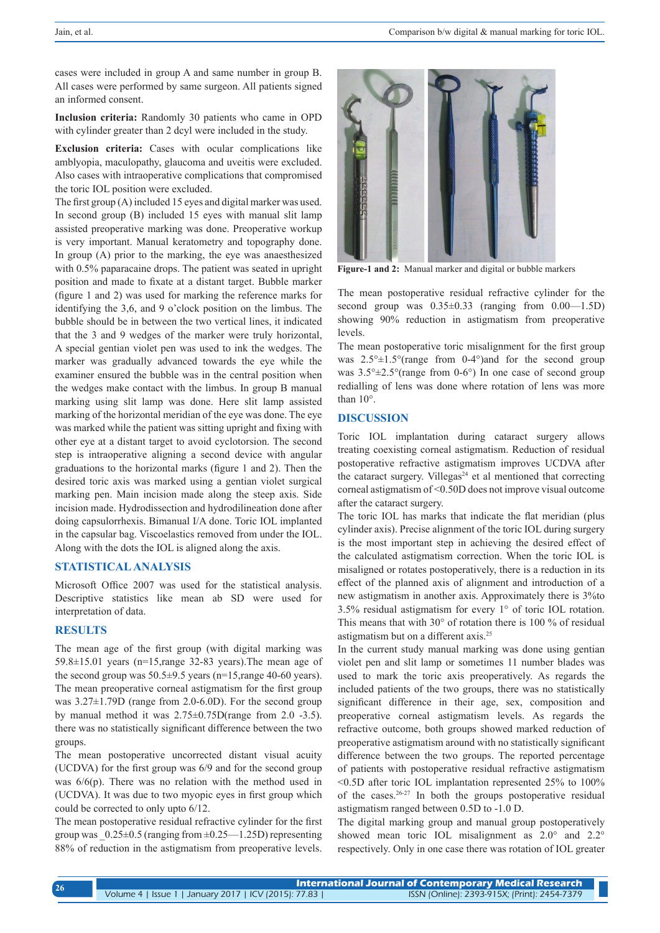cases were included in group A and same number in group B. All cases were performed by same surgeon. All patients signed an informed consent.

**Inclusion criteria:** Randomly 30 patients who came in OPD with cylinder greater than 2 dcyl were included in the study.

**Exclusion criteria:** Cases with ocular complications like amblyopia, maculopathy, glaucoma and uveitis were excluded. Also cases with intraoperative complications that compromised the toric IOL position were excluded.

The first group (A) included 15 eyes and digital marker was used. In second group (B) included 15 eyes with manual slit lamp assisted preoperative marking was done. Preoperative workup is very important. Manual keratometry and topography done. In group (A) prior to the marking, the eye was anaesthesized with 0.5% paparacaine drops. The patient was seated in upright position and made to fixate at a distant target. Bubble marker (figure 1 and 2) was used for marking the reference marks for identifying the 3,6, and 9 o'clock position on the limbus. The bubble should be in between the two vertical lines, it indicated that the 3 and 9 wedges of the marker were truly horizontal, A special gentian violet pen was used to ink the wedges. The marker was gradually advanced towards the eye while the examiner ensured the bubble was in the central position when the wedges make contact with the limbus. In group B manual marking using slit lamp was done. Here slit lamp assisted marking of the horizontal meridian of the eye was done. The eye was marked while the patient was sitting upright and fixing with other eye at a distant target to avoid cyclotorsion. The second step is intraoperative aligning a second device with angular graduations to the horizontal marks (figure 1 and 2). Then the desired toric axis was marked using a gentian violet surgical marking pen. Main incision made along the steep axis. Side incision made. Hydrodissection and hydrodilineation done after doing capsulorrhexis. Bimanual I/A done. Toric IOL implanted in the capsular bag. Viscoelastics removed from under the IOL. Along with the dots the IOL is aligned along the axis.

## **STATISTICAL ANALYSIS**

Microsoft Office 2007 was used for the statistical analysis. Descriptive statistics like mean ab SD were used for interpretation of data.

#### **RESULTS**

The mean age of the first group (with digital marking was 59.8 $\pm$ 15.01 years (n=15, range 32-83 years). The mean age of the second group was  $50.5\pm9.5$  years (n=15, range 40-60 years). The mean preoperative corneal astigmatism for the first group was 3.27±1.79D (range from 2.0-6.0D). For the second group by manual method it was 2.75±0.75D(range from 2.0 -3.5). there was no statistically significant difference between the two groups.

The mean postoperative uncorrected distant visual acuity (UCDVA) for the first group was 6/9 and for the second group was 6/6(p). There was no relation with the method used in (UCDVA). It was due to two myopic eyes in first group which could be corrected to only upto 6/12.

The mean postoperative residual refractive cylinder for the first group was  $0.25\pm0.5$  (ranging from  $\pm 0.25$ —1.25D) representing 88% of reduction in the astigmatism from preoperative levels.



**Figure-1 and 2:** Manual marker and digital or bubble markers

The mean postoperative residual refractive cylinder for the second group was  $0.35\pm0.33$  (ranging from  $0.00-1.5D$ ) showing 90% reduction in astigmatism from preoperative levels.

The mean postoperative toric misalignment for the first group was  $2.5^{\circ} \pm 1.5^{\circ}$  (range from 0-4°) and for the second group was  $3.5^{\circ} \pm 2.5^{\circ}$  (range from 0-6°) In one case of second group redialling of lens was done where rotation of lens was more than 10°.

## **DISCUSSION**

Toric IOL implantation during cataract surgery allows treating coexisting corneal astigmatism. Reduction of residual postoperative refractive astigmatism improves UCDVA after the cataract surgery. Villegas<sup>24</sup> et al mentioned that correcting corneal astigmatism of <0.50D does not improve visual outcome after the cataract surgery.

The toric IOL has marks that indicate the flat meridian (plus cylinder axis). Precise alignment of the toric IOL during surgery is the most important step in achieving the desired effect of the calculated astigmatism correction. When the toric IOL is misaligned or rotates postoperatively, there is a reduction in its effect of the planned axis of alignment and introduction of a new astigmatism in another axis. Approximately there is 3%to 3.5% residual astigmatism for every 1° of toric IOL rotation. This means that with 30° of rotation there is 100 % of residual astigmatism but on a different axis.25

In the current study manual marking was done using gentian violet pen and slit lamp or sometimes 11 number blades was used to mark the toric axis preoperatively. As regards the included patients of the two groups, there was no statistically significant difference in their age, sex, composition and preoperative corneal astigmatism levels. As regards the refractive outcome, both groups showed marked reduction of preoperative astigmatism around with no statistically significant difference between the two groups. The reported percentage of patients with postoperative residual refractive astigmatism <0.5D after toric IOL implantation represented 25% to 100% of the cases.26-27 In both the groups postoperative residual astigmatism ranged between 0.5D to -1.0 D.

The digital marking group and manual group postoperatively showed mean toric IOL misalignment as  $2.0^{\circ}$  and  $2.2^{\circ}$ respectively. Only in one case there was rotation of IOL greater